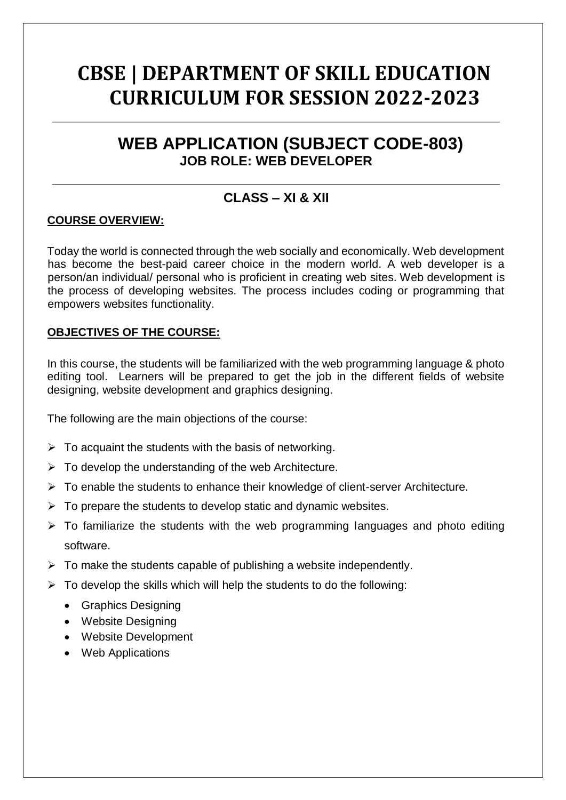# **CBSE | DEPARTMENT OF SKILL EDUCATION CURRICULUM FOR SESSION 2022-2023**

## **WEB APPLICATION (SUBJECT CODE-803) JOB ROLE: WEB DEVELOPER**

### **CLASS – XI & XII**

#### **COURSE OVERVIEW:**

Today the world is connected through the web socially and economically. Web development has become the best-paid career choice in the modern world. A web developer is a person/an individual/ personal who is proficient in creating web sites. Web development is the process of developing websites. The process includes coding or programming that empowers websites functionality.

#### **OBJECTIVES OF THE COURSE:**

In this course, the students will be familiarized with the web programming language & photo editing tool. Learners will be prepared to get the job in the different fields of website designing, website development and graphics designing.

The following are the main objections of the course:

- $\triangleright$  To acquaint the students with the basis of networking.
- $\triangleright$  To develop the understanding of the web Architecture.
- $\triangleright$  To enable the students to enhance their knowledge of client-server Architecture.
- $\triangleright$  To prepare the students to develop static and dynamic websites.
- $\triangleright$  To familiarize the students with the web programming languages and photo editing software.
- $\triangleright$  To make the students capable of publishing a website independently.
- $\triangleright$  To develop the skills which will help the students to do the following:
	- Graphics Designing
	- Website Designing
	- Website Development
	- Web Applications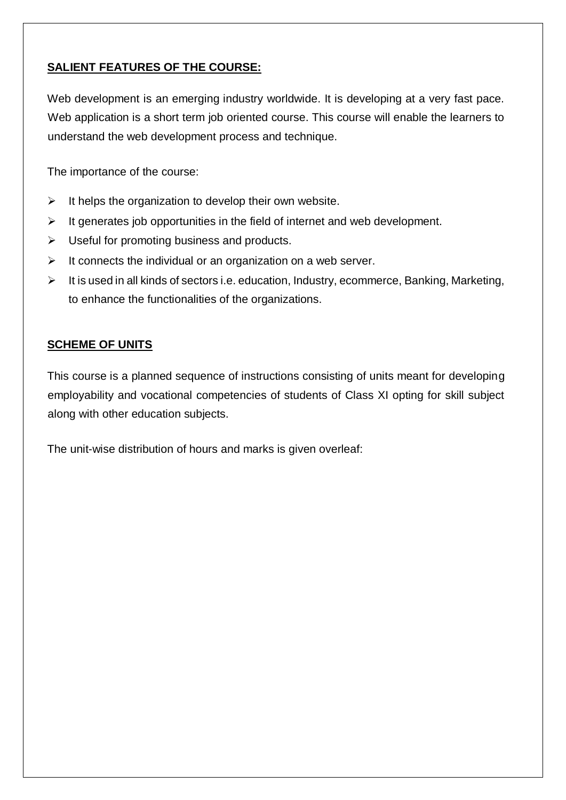#### **SALIENT FEATURES OF THE COURSE:**

Web development is an emerging industry worldwide. It is developing at a very fast pace. Web application is a short term job oriented course. This course will enable the learners to understand the web development process and technique.

The importance of the course:

- $\triangleright$  It helps the organization to develop their own website.
- $\triangleright$  It generates job opportunities in the field of internet and web development.
- $\triangleright$  Useful for promoting business and products.
- $\triangleright$  It connects the individual or an organization on a web server.
- $\triangleright$  It is used in all kinds of sectors i.e. education, Industry, ecommerce, Banking, Marketing, to enhance the functionalities of the organizations.

#### **SCHEME OF UNITS**

This course is a planned sequence of instructions consisting of units meant for developing employability and vocational competencies of students of Class XI opting for skill subject along with other education subjects.

The unit-wise distribution of hours and marks is given overleaf: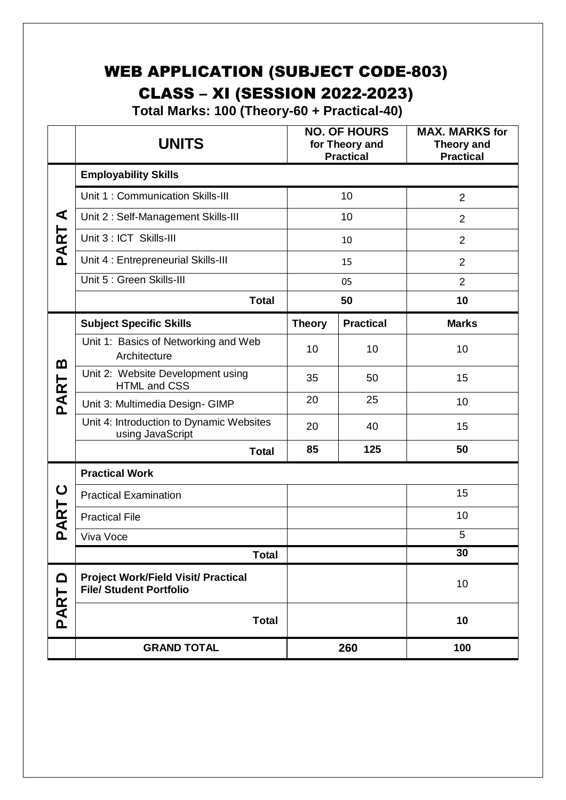## WEB APPLICATION (SUBJECT CODE-803) CLASS – XI (SESSION 2022-2023)

 **Total Marks: 100 (Theory-60 + Practical-40)**

|            | <b>UNITS</b>                                                                 |               | <b>NO. OF HOURS</b><br>for Theory and<br><b>Practical</b> | <b>MAX. MARKS for</b><br><b>Theory and</b><br><b>Practical</b> |  |
|------------|------------------------------------------------------------------------------|---------------|-----------------------------------------------------------|----------------------------------------------------------------|--|
|            | <b>Employability Skills</b>                                                  |               |                                                           |                                                                |  |
|            | Unit 1: Communication Skills-III                                             |               | 10                                                        | $\overline{2}$                                                 |  |
| ⋖          | Unit 2: Self-Management Skills-III                                           |               | 10                                                        | $\overline{2}$                                                 |  |
| PART       | Unit 3 : ICT Skills-III                                                      |               | 10                                                        | $\overline{2}$                                                 |  |
|            | Unit 4 : Entrepreneurial Skills-III                                          |               | 15                                                        | $\overline{2}$                                                 |  |
|            | Unit 5 : Green Skills-III                                                    |               | 05                                                        | $\overline{2}$                                                 |  |
|            | <b>Total</b>                                                                 |               | 50                                                        | 10                                                             |  |
|            | <b>Subject Specific Skills</b>                                               | <b>Theory</b> | <b>Practical</b>                                          | <b>Marks</b>                                                   |  |
| മ          | Unit 1: Basics of Networking and Web<br>Architecture                         | 10            | 10                                                        | 10                                                             |  |
| PART       | Unit 2: Website Development using<br><b>HTML and CSS</b>                     | 35            | 50                                                        | 15                                                             |  |
|            | Unit 3: Multimedia Design- GIMP                                              | 20            | 25                                                        | 10                                                             |  |
|            | Unit 4: Introduction to Dynamic Websites<br>using JavaScript                 | 20            | 40                                                        | 15                                                             |  |
|            | <b>Total</b>                                                                 | 85            | 125                                                       | 50                                                             |  |
|            | <b>Practical Work</b>                                                        |               |                                                           |                                                                |  |
| ပ          | <b>Practical Examination</b>                                                 |               |                                                           | 15                                                             |  |
| ART        | <b>Practical File</b>                                                        |               |                                                           | 10                                                             |  |
| <u>َ م</u> | Viva Voce                                                                    |               |                                                           | 5                                                              |  |
|            | <b>Total</b>                                                                 |               |                                                           | 30                                                             |  |
| ≏<br>PART  | <b>Project Work/Field Visit/ Practical</b><br><b>File/ Student Portfolio</b> |               |                                                           | 10                                                             |  |
|            | <b>Total</b>                                                                 |               |                                                           | 10                                                             |  |
|            | <b>GRAND TOTAL</b>                                                           |               | 260                                                       | 100                                                            |  |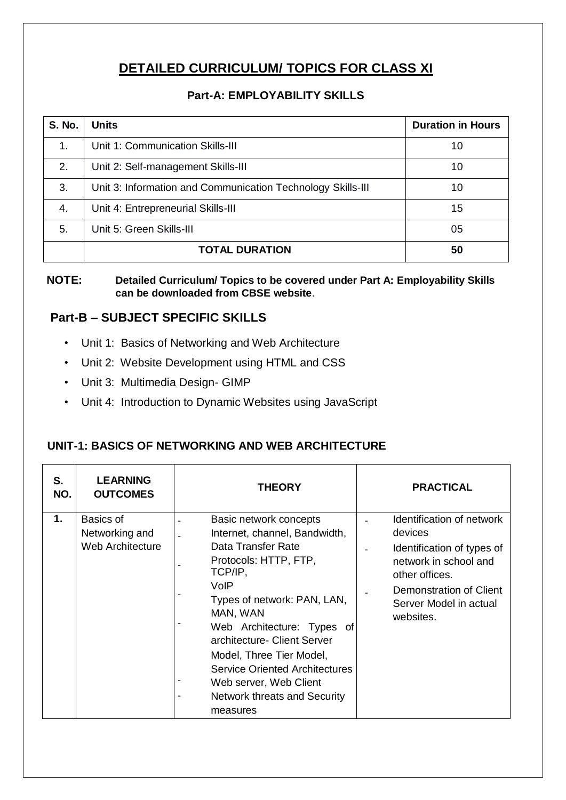### **DETAILED CURRICULUM/ TOPICS FOR CLASS XI**

#### **Part-A: EMPLOYABILITY SKILLS**

| <b>S. No.</b> | <b>Units</b>                                                | <b>Duration in Hours</b> |
|---------------|-------------------------------------------------------------|--------------------------|
| 1.            | Unit 1: Communication Skills-III                            | 10                       |
| 2.            | Unit 2: Self-management Skills-III                          | 10                       |
| 3.            | Unit 3: Information and Communication Technology Skills-III | 10                       |
| 4.            | Unit 4: Entrepreneurial Skills-III                          | 15                       |
| 5.            | Unit 5: Green Skills-III                                    | 05                       |
|               | <b>TOTAL DURATION</b>                                       | 50                       |

#### **NOTE: Detailed Curriculum/ Topics to be covered under Part A: Employability Skills can be downloaded from CBSE website**.

#### **Part-B – SUBJECT SPECIFIC SKILLS**

- Unit 1: Basics of Networking and Web Architecture
- Unit 2: Website Development using HTML and CSS
- Unit 3: Multimedia Design- GIMP
- Unit 4: Introduction to Dynamic Websites using JavaScript

#### **UNIT-1: BASICS OF NETWORKING AND WEB ARCHITECTURE**

| S.<br>NO. | <b>LEARNING</b><br><b>OUTCOMES</b>              | <b>THEORY</b>                                                                                                                                                                                                                                                                                                                                                                | <b>PRACTICAL</b>                                                                                                                                                                |
|-----------|-------------------------------------------------|------------------------------------------------------------------------------------------------------------------------------------------------------------------------------------------------------------------------------------------------------------------------------------------------------------------------------------------------------------------------------|---------------------------------------------------------------------------------------------------------------------------------------------------------------------------------|
| 1.        | Basics of<br>Networking and<br>Web Architecture | Basic network concepts<br>Internet, channel, Bandwidth,<br>Data Transfer Rate<br>Protocols: HTTP, FTP,<br>TCP/IP,<br>VoIP<br>Types of network: PAN, LAN,<br>MAN, WAN<br>Web Architecture: Types of<br>architecture- Client Server<br>Model, Three Tier Model,<br><b>Service Oriented Architectures</b><br>Web server, Web Client<br>Network threats and Security<br>measures | Identification of network<br>devices<br>Identification of types of<br>network in school and<br>other offices.<br>Demonstration of Client<br>Server Model in actual<br>websites. |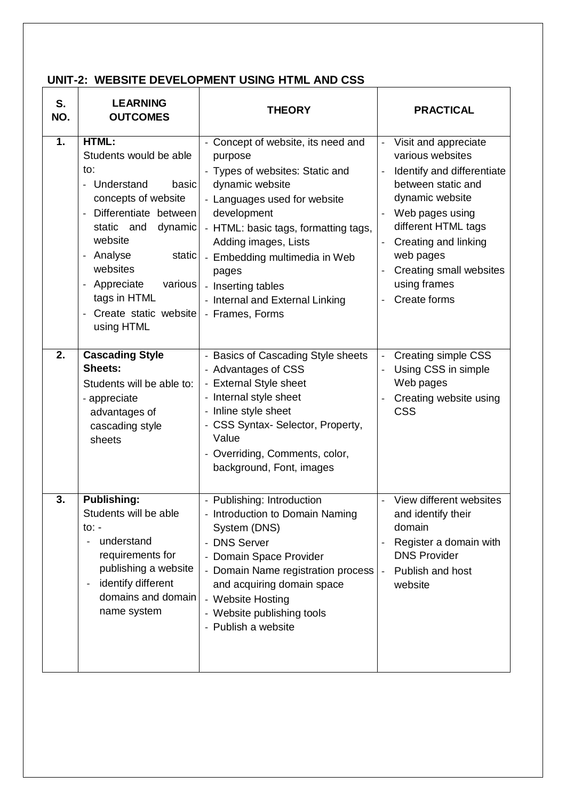#### **UNIT-2: WEBSITE DEVELOPMENT USING HTML AND CSS**

| S.<br>NO. | <b>LEARNING</b><br><b>OUTCOMES</b>                                                                                                                                                                                                                                                                                           | <b>THEORY</b>                                                                                                                                                                                                                                                                                                                            | <b>PRACTICAL</b>                                                                                                                                                                                                                                                                                                                  |
|-----------|------------------------------------------------------------------------------------------------------------------------------------------------------------------------------------------------------------------------------------------------------------------------------------------------------------------------------|------------------------------------------------------------------------------------------------------------------------------------------------------------------------------------------------------------------------------------------------------------------------------------------------------------------------------------------|-----------------------------------------------------------------------------------------------------------------------------------------------------------------------------------------------------------------------------------------------------------------------------------------------------------------------------------|
| 1.        | HTML:<br>Students would be able<br>to:<br>- Understand<br>basic<br>concepts of website<br>Differentiate between<br>$\overline{\phantom{a}}$<br>static and<br>dynamic<br>website<br>Analyse<br>static<br>websites<br>Appreciate<br>various<br>$\overline{\phantom{a}}$<br>tags in HTML<br>Create static website<br>using HTML | - Concept of website, its need and<br>purpose<br>- Types of websites: Static and<br>dynamic website<br>- Languages used for website<br>development<br>- HTML: basic tags, formatting tags,<br>Adding images, Lists<br>- Embedding multimedia in Web<br>pages<br>- Inserting tables<br>- Internal and External Linking<br>- Frames, Forms | Visit and appreciate<br>$\Box$<br>various websites<br>Identify and differentiate<br>$\overline{\phantom{a}}$<br>between static and<br>dynamic website<br>Web pages using<br>$\frac{1}{2}$<br>different HTML tags<br>Creating and linking<br>$\frac{1}{2}$<br>web pages<br>Creating small websites<br>using frames<br>Create forms |
| 2.        | <b>Cascading Style</b><br><b>Sheets:</b><br>Students will be able to:<br>- appreciate<br>advantages of<br>cascading style<br>sheets                                                                                                                                                                                          | - Basics of Cascading Style sheets<br>- Advantages of CSS<br>- External Style sheet<br>- Internal style sheet<br>- Inline style sheet<br>- CSS Syntax- Selector, Property,<br>Value<br>- Overriding, Comments, color,<br>background, Font, images                                                                                        | Creating simple CSS<br>$\overline{\phantom{a}}$<br>Using CSS in simple<br>$\frac{1}{2}$<br>Web pages<br>Creating website using<br>$\overline{\phantom{a}}$<br><b>CSS</b>                                                                                                                                                          |
| 3.        | <b>Publishing:</b><br>Students will be able<br>to: -<br>understand<br>$\qquad \qquad -$<br>requirements for<br>publishing a website<br>identify different<br>$\qquad \qquad -$<br>domains and domain<br>name system                                                                                                          | - Publishing: Introduction<br>- Introduction to Domain Naming<br>System (DNS)<br><b>DNS Server</b><br>- Domain Space Provider<br>- Domain Name registration process<br>and acquiring domain space<br>- Website Hosting<br>- Website publishing tools<br>- Publish a website                                                              | View different websites<br>and identify their<br>domain<br>Register a domain with<br><b>DNS Provider</b><br>Publish and host<br>$\overline{\phantom{a}}$<br>website                                                                                                                                                               |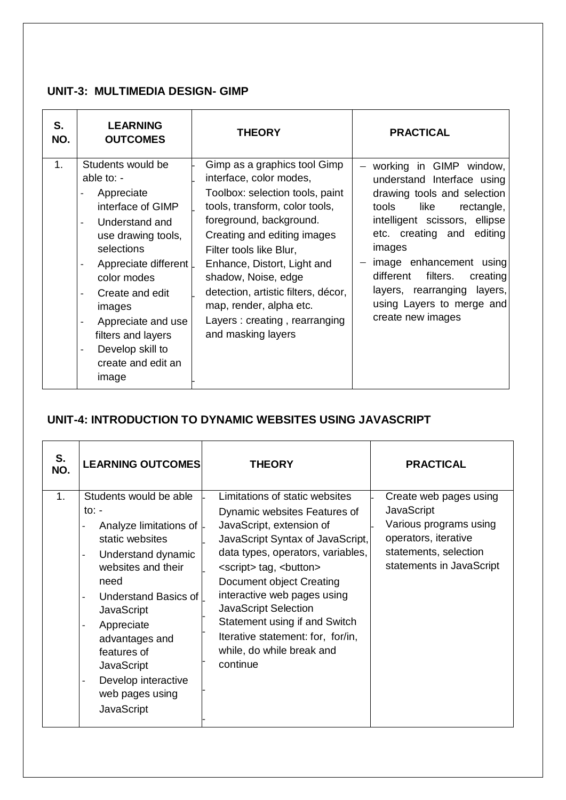#### **UNIT-3: MULTIMEDIA DESIGN- GIMP**

| S.<br>NO.      | <b>LEARNING</b><br><b>OUTCOMES</b>                                                                                                                                                                                                                                                                                                                            | <b>THEORY</b>                                                                                                                                                                                                                                                                                                                                                                                    | <b>PRACTICAL</b>                                                                                                                                                                                                                                                                                                                                   |
|----------------|---------------------------------------------------------------------------------------------------------------------------------------------------------------------------------------------------------------------------------------------------------------------------------------------------------------------------------------------------------------|--------------------------------------------------------------------------------------------------------------------------------------------------------------------------------------------------------------------------------------------------------------------------------------------------------------------------------------------------------------------------------------------------|----------------------------------------------------------------------------------------------------------------------------------------------------------------------------------------------------------------------------------------------------------------------------------------------------------------------------------------------------|
| 1 <sub>1</sub> | Students would be<br>able to: $-$<br>Appreciate<br>interface of GIMP<br>Understand and<br>use drawing tools,<br>selections<br>Appreciate different<br>color modes<br>Create and edit<br>$\overline{a}$<br>images<br>Appreciate and use<br>$\overline{a}$<br>filters and layers<br>Develop skill to<br>$\overline{\phantom{0}}$<br>create and edit an<br>image | Gimp as a graphics tool Gimp<br>interface, color modes,<br>Toolbox: selection tools, paint<br>tools, transform, color tools,<br>foreground, background.<br>Creating and editing images<br>Filter tools like Blur,<br>Enhance, Distort, Light and<br>shadow, Noise, edge<br>detection, artistic filters, décor,<br>map, render, alpha etc.<br>Layers: creating, rearranging<br>and masking layers | working in GIMP window,<br>understand Interface using<br>drawing tools and selection<br>like<br>tools<br>rectangle,<br>intelligent scissors, ellipse<br>etc. creating and editing<br>images<br>image enhancement<br>using<br>filters.<br>different<br>creating<br>layers, rearranging<br>layers,<br>using Layers to merge and<br>create new images |

#### **UNIT-4: INTRODUCTION TO DYNAMIC WEBSITES USING JAVASCRIPT**

| S.<br>NO. | <b>LEARNING OUTCOMES</b>                                                                                                                                                                                                                                                                                                                                                                           | <b>THEORY</b>                                                                                                                                                                            | <b>PRACTICAL</b> |
|-----------|----------------------------------------------------------------------------------------------------------------------------------------------------------------------------------------------------------------------------------------------------------------------------------------------------------------------------------------------------------------------------------------------------|------------------------------------------------------------------------------------------------------------------------------------------------------------------------------------------|------------------|
| 1.        | Students would be able<br>to: $-$<br>Analyze limitations of  -<br>static websites<br>Understand dynamic<br>$\qquad \qquad -$<br>websites and their<br>need<br>Understand Basics of<br>$\overline{\phantom{a}}$<br><b>JavaScript</b><br>Appreciate<br>$\overline{\phantom{a}}$<br>advantages and<br>features of<br><b>JavaScript</b><br>Develop interactive<br>web pages using<br><b>JavaScript</b> | Limitations of static websites<br>Dynamic websites Features of<br>JavaScript, extension of<br>JavaScript Syntax of JavaScript,<br>data types, operators, variables,<br><script></script> |                  |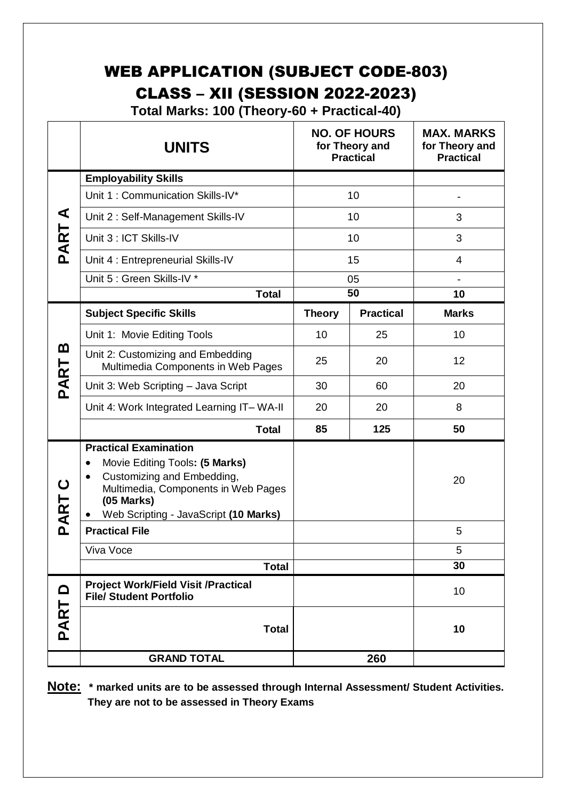## WEB APPLICATION (SUBJECT CODE-803) CLASS – XII (SESSION 2022-2023)

 **Total Marks: 100 (Theory-60 + Practical-40)**

|                   | <b>UNITS</b>                                                                                                                                                                                                           |               | <b>NO. OF HOURS</b><br>for Theory and<br><b>Practical</b> | <b>MAX. MARKS</b><br>for Theory and<br><b>Practical</b> |
|-------------------|------------------------------------------------------------------------------------------------------------------------------------------------------------------------------------------------------------------------|---------------|-----------------------------------------------------------|---------------------------------------------------------|
|                   | <b>Employability Skills</b>                                                                                                                                                                                            |               |                                                           |                                                         |
|                   | Unit 1: Communication Skills-IV*                                                                                                                                                                                       | 10            |                                                           |                                                         |
| ⋖                 | Unit 2: Self-Management Skills-IV                                                                                                                                                                                      |               | 10                                                        | 3                                                       |
| PART              | Unit 3 : ICT Skills-IV                                                                                                                                                                                                 |               | 10                                                        | 3                                                       |
|                   | Unit 4 : Entrepreneurial Skills-IV                                                                                                                                                                                     |               | 15                                                        | 4                                                       |
|                   | Unit 5 : Green Skills-IV *                                                                                                                                                                                             |               | 05                                                        |                                                         |
|                   | <b>Total</b>                                                                                                                                                                                                           |               | 50                                                        | 10                                                      |
|                   | <b>Subject Specific Skills</b>                                                                                                                                                                                         | <b>Theory</b> | <b>Practical</b>                                          | <b>Marks</b>                                            |
|                   | Unit 1: Movie Editing Tools                                                                                                                                                                                            | 10            | 25                                                        | 10                                                      |
| മ<br>PART         | Unit 2: Customizing and Embedding<br>Multimedia Components in Web Pages                                                                                                                                                | 25            | 20                                                        | 12                                                      |
|                   | Unit 3: Web Scripting - Java Script                                                                                                                                                                                    | 30            | 60                                                        | 20                                                      |
|                   | Unit 4: Work Integrated Learning IT-WA-II                                                                                                                                                                              | 20            | 20                                                        | 8                                                       |
|                   | <b>Total</b>                                                                                                                                                                                                           | 85            | 125                                                       | 50                                                      |
| ပ<br>PART         | <b>Practical Examination</b><br>Movie Editing Tools: (5 Marks)<br>$\bullet$<br>Customizing and Embedding,<br>$\bullet$<br>Multimedia, Components in Web Pages<br>$(05$ Marks)<br>Web Scripting - JavaScript (10 Marks) |               |                                                           | 20                                                      |
|                   | <b>Practical File</b>                                                                                                                                                                                                  |               |                                                           | 5                                                       |
|                   | Viva Voce                                                                                                                                                                                                              |               |                                                           | 5                                                       |
|                   | <b>Total</b>                                                                                                                                                                                                           |               |                                                           | 30                                                      |
| $\mathbf{\Omega}$ | <b>Project Work/Field Visit /Practical</b><br><b>File/ Student Portfolio</b>                                                                                                                                           |               |                                                           | 10                                                      |
| PART              | <b>Total</b>                                                                                                                                                                                                           |               |                                                           | 10                                                      |
|                   | <b>GRAND TOTAL</b>                                                                                                                                                                                                     |               | 260                                                       |                                                         |

**Note: \* marked units are to be assessed through Internal Assessment/ Student Activities. They are not to be assessed in Theory Exams**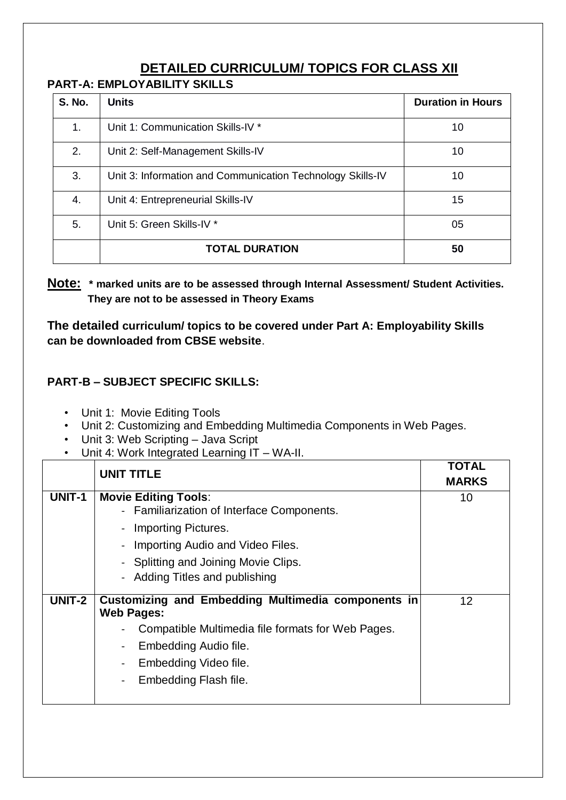## **DETAILED CURRICULUM/ TOPICS FOR CLASS XII**

#### **PART-A: EMPLOYABILITY SKILLS**

| <b>S. No.</b> | <b>Units</b>                                               | <b>Duration in Hours</b> |
|---------------|------------------------------------------------------------|--------------------------|
| 1.            | Unit 1: Communication Skills-IV *                          | 10                       |
| 2.            | Unit 2: Self-Management Skills-IV                          | 10                       |
| 3.            | Unit 3: Information and Communication Technology Skills-IV | 10                       |
| 4.            | Unit 4: Entrepreneurial Skills-IV                          | 15                       |
| 5.            | Unit 5: Green Skills-IV *                                  | 05                       |
|               | <b>TOTAL DURATION</b>                                      | 50                       |

**Note: \* marked units are to be assessed through Internal Assessment/ Student Activities. They are not to be assessed in Theory Exams** 

**The detailed curriculum/ topics to be covered under Part A: Employability Skills can be downloaded from CBSE website**.

#### **PART-B – SUBJECT SPECIFIC SKILLS:**

- Unit 1: Movie Editing Tools
- Unit 2: Customizing and Embedding Multimedia Components in Web Pages.
- Unit 3: Web Scripting Java Script
- Unit 4: Work Integrated Learning IT WA-II.

|               | <b>UNIT TITLE</b>                                                                                                                                                                                                                       | TOTAL<br><b>MARKS</b> |
|---------------|-----------------------------------------------------------------------------------------------------------------------------------------------------------------------------------------------------------------------------------------|-----------------------|
| <b>UNIT-1</b> | <b>Movie Editing Tools:</b><br>- Familiarization of Interface Components.<br>- Importing Pictures.<br>- Importing Audio and Video Files.<br>- Splitting and Joining Movie Clips.<br>- Adding Titles and publishing                      | 10                    |
| UNIT-2        | Customizing and Embedding Multimedia components in<br><b>Web Pages:</b><br>Compatible Multimedia file formats for Web Pages.<br>Embedding Audio file.<br>$\qquad \qquad \blacksquare$<br>Embedding Video file.<br>Embedding Flash file. | 12                    |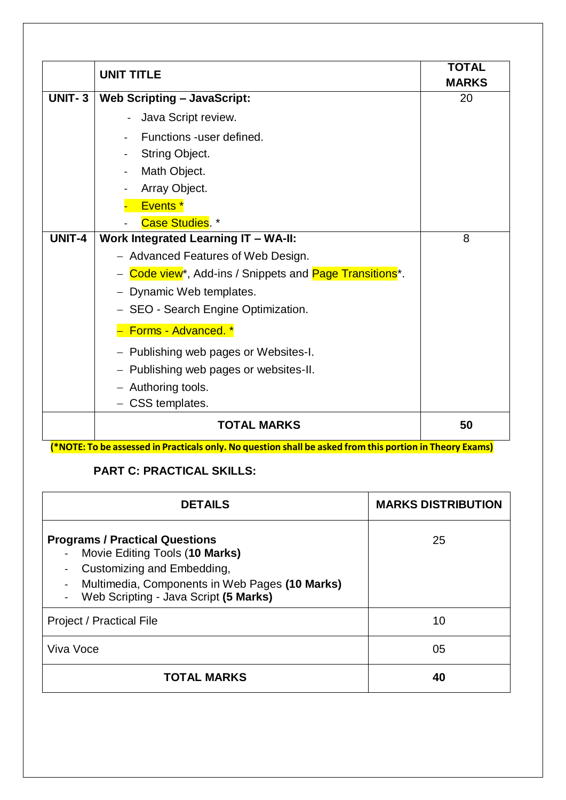|               | <b>UNIT TITLE</b>                                                            | <b>TOTAL</b><br><b>MARKS</b> |
|---------------|------------------------------------------------------------------------------|------------------------------|
| <b>UNIT-3</b> | <b>Web Scripting - JavaScript:</b>                                           | 20                           |
|               | Java Script review.<br>$\sim$                                                |                              |
|               | Functions -user defined.<br>÷.                                               |                              |
|               | String Object.                                                               |                              |
|               | Math Object.                                                                 |                              |
|               | Array Object.                                                                |                              |
|               | Events <sup>*</sup>                                                          |                              |
|               | Case Studies. *                                                              |                              |
| UNIT-4        | <b>Work Integrated Learning IT - WA-II:</b>                                  | 8                            |
|               | - Advanced Features of Web Design.                                           |                              |
|               | - Code view <sup>*</sup> , Add-ins / Snippets and <b>Page Transitions</b> *. |                              |
|               | - Dynamic Web templates.                                                     |                              |
|               | - SEO - Search Engine Optimization.                                          |                              |
|               | Forms - Advanced. *                                                          |                              |
|               | - Publishing web pages or Websites-I.                                        |                              |
|               | - Publishing web pages or websites-II.                                       |                              |
|               | - Authoring tools.                                                           |                              |
|               | - CSS templates.                                                             |                              |
|               | <b>TOTAL MARKS</b>                                                           | 50                           |

(\*NOTE: To be assessed in Practicals only. No question shall be asked from this portion in Theory Exams)

### **PART C: PRACTICAL SKILLS:**

| <b>DETAILS</b>                                                                                                                                                                                                     | <b>MARKS DISTRIBUTION</b> |
|--------------------------------------------------------------------------------------------------------------------------------------------------------------------------------------------------------------------|---------------------------|
| <b>Programs / Practical Questions</b><br>Movie Editing Tools (10 Marks)<br>$\blacksquare$<br>Customizing and Embedding,<br>Multimedia, Components in Web Pages (10 Marks)<br>Web Scripting - Java Script (5 Marks) | 25                        |
| <b>Project / Practical File</b>                                                                                                                                                                                    | 10                        |
| Viva Voce                                                                                                                                                                                                          | 05                        |
| <b>TOTAL MARKS</b>                                                                                                                                                                                                 | 40                        |